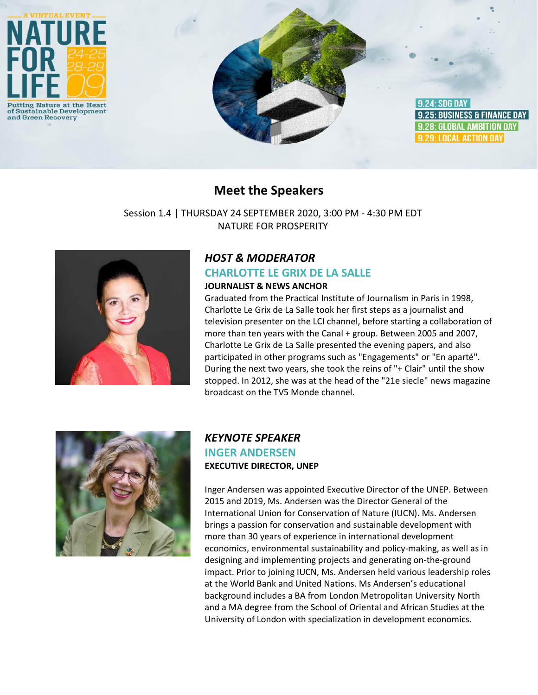

# **Meet the Speakers**

Session 1.4 | THURSDAY 24 SEPTEMBER 2020, 3:00 PM - 4:30 PM EDT NATURE FOR PROSPERITY



# *HOST & MODERATOR*

#### **CHARLOTTE LE GRIX DE LA SALLE**

#### **JOURNALIST & NEWS ANCHOR**

Graduated from the Practical Institute of Journalism in Paris in 1998, Charlotte Le Grix de La Salle took her first steps as a journalist and television presenter on the LCI channel, before starting a collaboration of more than ten years with the Canal + group. Between 2005 and 2007, Charlotte Le Grix de La Salle presented the evening papers, and also participated in other programs such as "Engagements" or "En aparté". During the next two years, she took the reins of "+ Clair" until the show stopped. In 2012, she was at the head of the "21e siecle" news magazine broadcast on the TV5 Monde channel.



# *KEYNOTE SPEAKER* **INGER ANDERSEN EXECUTIVE DIRECTOR, UNEP**

Inger Andersen was appointed Executive Director of the UNEP. Between 2015 and 2019, Ms. Andersen was the Director General of the International Union for Conservation of Nature (IUCN). Ms. Andersen brings a passion for conservation and sustainable development with more than 30 years of experience in international development economics, environmental sustainability and policy-making, as well as in designing and implementing projects and generating on-the-ground impact. Prior to joining IUCN, Ms. Andersen held various leadership roles at the World Bank and United Nations. Ms Andersen's educational background includes a BA from London Metropolitan University North and a MA degree from the School of Oriental and African Studies at the University of London with specialization in development economics.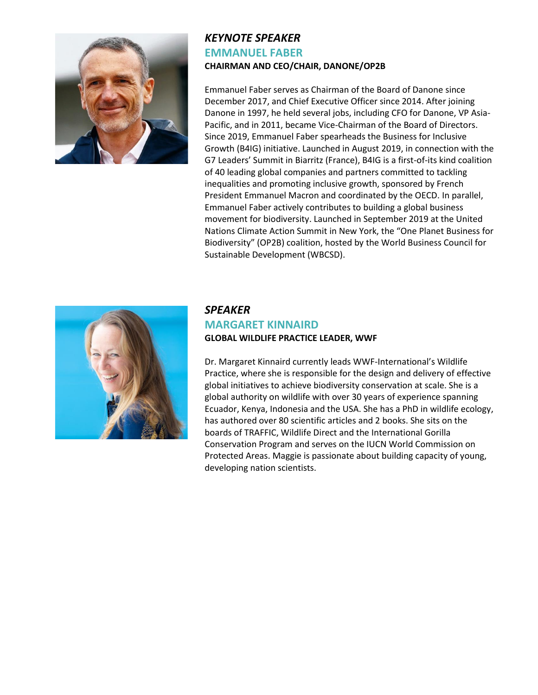

## *KEYNOTE SPEAKER* **EMMANUEL FABER CHAIRMAN AND CEO/CHAIR, DANONE/OP2B**

Emmanuel Faber serves as Chairman of the Board of Danone since December 2017, and Chief Executive Officer since 2014. After joining Danone in 1997, he held several jobs, including CFO for Danone, VP Asia-Pacific, and in 2011, became Vice-Chairman of the Board of Directors. Since 2019, Emmanuel Faber spearheads the Business for Inclusive Growth (B4IG) initiative. Launched in August 2019, in connection with the G7 Leaders' Summit in Biarritz (France), B4IG is a first-of-its kind coalition of 40 leading global companies and partners committed to tackling inequalities and promoting inclusive growth, sponsored by French President Emmanuel Macron and coordinated by the OECD. In parallel, Emmanuel Faber actively contributes to building a global business movement for biodiversity. Launched in September 2019 at the United Nations Climate Action Summit in New York, the "One Planet Business for Biodiversity" (OP2B) coalition, hosted by the World Business Council for Sustainable Development (WBCSD).



## *SPEAKER* **MARGARET KINNAIRD GLOBAL WILDLIFE PRACTICE LEADER, WWF**

Dr. Margaret Kinnaird currently leads WWF-International's Wildlife Practice, where she is responsible for the design and delivery of effective global initiatives to achieve biodiversity conservation at scale. She is a global authority on wildlife with over 30 years of experience spanning Ecuador, Kenya, Indonesia and the USA. She has a PhD in wildlife ecology, has authored over 80 scientific articles and 2 books. She sits on the boards of TRAFFIC, Wildlife Direct and the International Gorilla Conservation Program and serves on the IUCN World Commission on Protected Areas. Maggie is passionate about building capacity of young, developing nation scientists.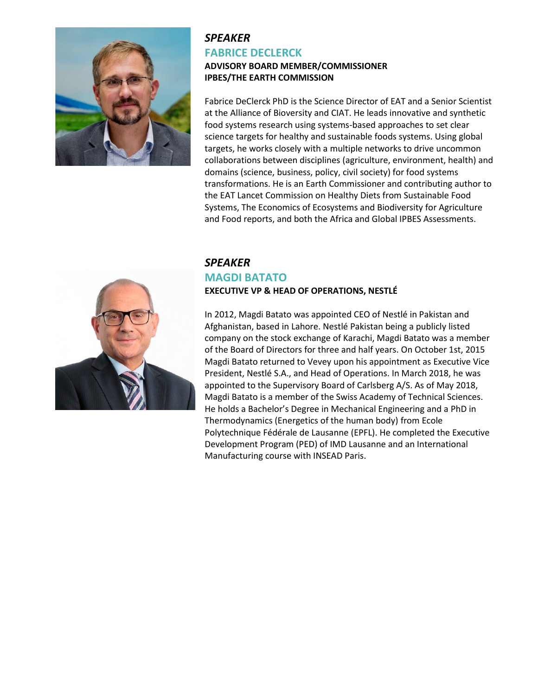

#### *SPEAKER* **FABRICE DECLERCK ADVISORY BOARD MEMBER/COMMISSIONER IPBES/THE EARTH COMMISSION**

Fabrice DeClerck PhD is the Science Director of EAT and a Senior Scientist at the Alliance of Bioversity and CIAT. He leads innovative and synthetic food systems research using systems-based approaches to set clear science targets for healthy and sustainable foods systems. Using global targets, he works closely with a multiple networks to drive uncommon collaborations between disciplines (agriculture, environment, health) and domains (science, business, policy, civil society) for food systems transformations. He is an Earth Commissioner and contributing author to the EAT Lancet Commission on Healthy Diets from Sustainable Food Systems, The Economics of Ecosystems and Biodiversity for Agriculture and Food reports, and both the Africa and Global IPBES Assessments.



## *SPEAKER* **MAGDI BATATO EXECUTIVE VP & HEAD OF OPERATIONS, NESTLÉ**

In 2012, Magdi Batato was appointed CEO of Nestlé in Pakistan and Afghanistan, based in Lahore. Nestlé Pakistan being a publicly listed company on the stock exchange of Karachi, Magdi Batato was a member of the Board of Directors for three and half years. On October 1st, 2015 Magdi Batato returned to Vevey upon his appointment as Executive Vice President, Nestlé S.A., and Head of Operations. In March 2018, he was appointed to the Supervisory Board of Carlsberg A/S. As of May 2018, Magdi Batato is a member of the Swiss Academy of Technical Sciences. He holds a Bachelor's Degree in Mechanical Engineering and a PhD in Thermodynamics (Energetics of the human body) from Ecole Polytechnique Fédérale de Lausanne (EPFL). He completed the Executive Development Program (PED) of IMD Lausanne and an International Manufacturing course with INSEAD Paris.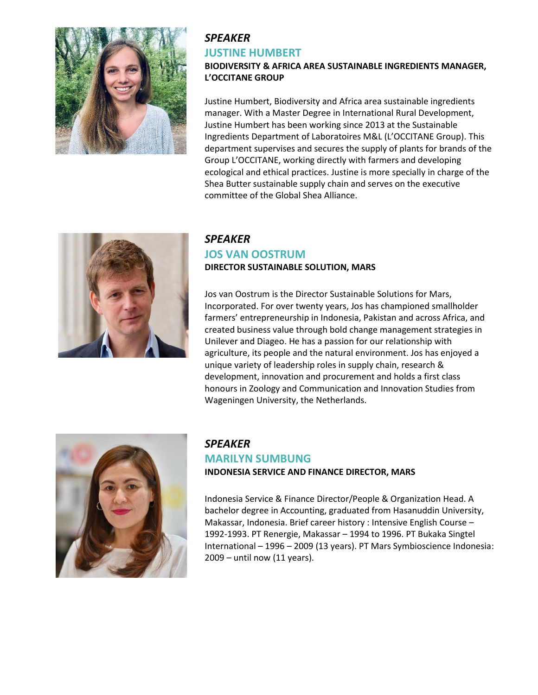

# *SPEAKER* **JUSTINE HUMBERT**

## **BIODIVERSITY & AFRICA AREA SUSTAINABLE INGREDIENTS MANAGER, L'OCCITANE GROUP**

Justine Humbert, Biodiversity and Africa area sustainable ingredients manager. With a Master Degree in International Rural Development, Justine Humbert has been working since 2013 at the Sustainable Ingredients Department of Laboratoires M&L (L'OCCITANE Group). This department supervises and secures the supply of plants for brands of the Group L'OCCITANE, working directly with farmers and developing ecological and ethical practices. Justine is more specially in charge of the Shea Butter sustainable supply chain and serves on the executive committee of the Global Shea Alliance.



## *SPEAKER* **JOS VAN OOSTRUM DIRECTOR SUSTAINABLE SOLUTION, MARS**

Jos van Oostrum is the Director Sustainable Solutions for Mars, Incorporated. For over twenty years, Jos has championed smallholder farmers' entrepreneurship in Indonesia, Pakistan and across Africa, and created business value through bold change management strategies in Unilever and Diageo. He has a passion for our relationship with agriculture, its people and the natural environment. Jos has enjoyed a unique variety of leadership roles in supply chain, research & development, innovation and procurement and holds a first class honours in Zoology and Communication and Innovation Studies from Wageningen University, the Netherlands.



# *SPEAKER*

# **MARILYN SUMBUNG INDONESIA SERVICE AND FINANCE DIRECTOR, MARS**

Indonesia Service & Finance Director/People & Organization Head. A bachelor degree in Accounting, graduated from Hasanuddin University, Makassar, Indonesia. Brief career history : Intensive English Course – 1992-1993. PT Renergie, Makassar – 1994 to 1996. PT Bukaka Singtel International – 1996 – 2009 (13 years). PT Mars Symbioscience Indonesia: 2009 – until now (11 years).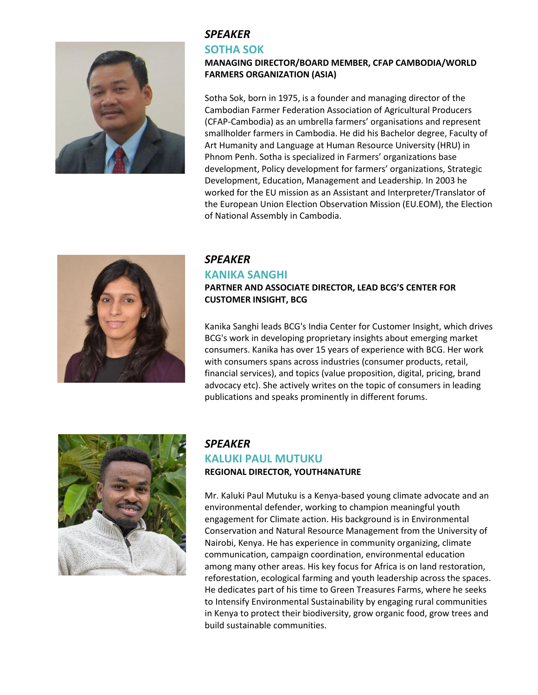

## *SPEAKER*

#### **SOTHA SOK**

#### **MANAGING DIRECTOR/BOARD MEMBER, CFAP CAMBODIA/WORLD FARMERS ORGANIZATION (ASIA)**

Sotha Sok, born in 1975, is a founder and managing director of the Cambodian Farmer Federation Association of Agricultural Producers (CFAP-Cambodia) as an umbrella farmers' organisations and represent smallholder farmers in Cambodia. He did his Bachelor degree, Faculty of Art Humanity and Language at Human Resource University (HRU) in Phnom Penh. Sotha is specialized in Farmers' organizations base development, Policy development for farmers' organizations, Strategic Development, Education, Management and Leadership. In 2003 he worked for the EU mission as an Assistant and Interpreter/Translator of the European Union Election Observation Mission (EU.EOM), the Election of National Assembly in Cambodia.



# *SPEAKER*

## **KANIKA SANGHI**

**PARTNER AND ASSOCIATE DIRECTOR, LEAD BCG'S CENTER FOR CUSTOMER INSIGHT, BCG**

Kanika Sanghi leads BCG's India Center for Customer Insight, which drives BCG's work in developing proprietary insights about emerging market consumers. Kanika has over 15 years of experience with BCG. Her work with consumers spans across industries (consumer products, retail, financial services), and topics (value proposition, digital, pricing, brand advocacy etc). She actively writes on the topic of consumers in leading publications and speaks prominently in different forums.



# *SPEAKER* **KALUKI PAUL MUTUKU REGIONAL DIRECTOR, YOUTH4NATURE**

Mr. Kaluki Paul Mutuku is a Kenya-based young climate advocate and an environmental defender, working to champion meaningful youth engagement for Climate action. His background is in Environmental Conservation and Natural Resource Management from the University of Nairobi, Kenya. He has experience in community organizing, climate communication, campaign coordination, environmental education among many other areas. His key focus for Africa is on land restoration, reforestation, ecological farming and youth leadership across the spaces. He dedicates part of his time to Green Treasures Farms, where he seeks to Intensify Environmental Sustainability by engaging rural communities in Kenya to protect their biodiversity, grow organic food, grow trees and build sustainable communities.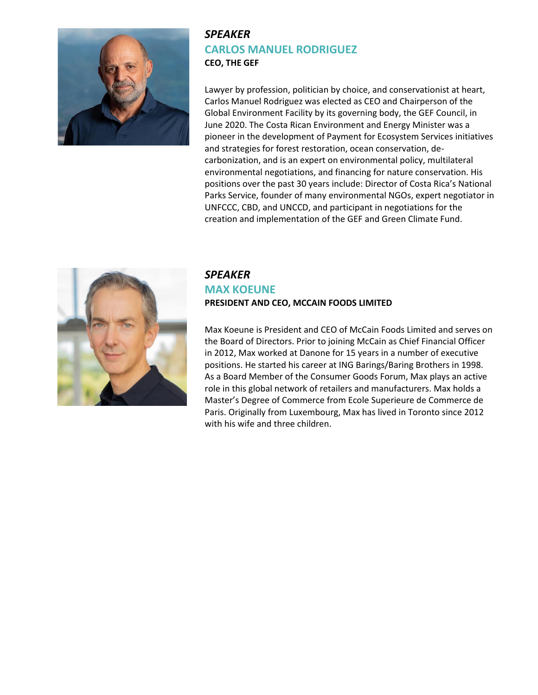

# *SPEAKER* **CARLOS MANUEL RODRIGUEZ CEO, THE GEF**

Lawyer by profession, politician by choice, and conservationist at heart, Carlos Manuel Rodriguez was elected as CEO and Chairperson of the Global Environment Facility by its governing body, the GEF Council, in June 2020. The Costa Rican Environment and Energy Minister was a pioneer in the development of Payment for Ecosystem Services initiatives and strategies for forest restoration, ocean conservation, decarbonization, and is an expert on environmental policy, multilateral environmental negotiations, and financing for nature conservation. His positions over the past 30 years include: Director of Costa Rica's National Parks Service, founder of many environmental NGOs, expert negotiator in UNFCCC, CBD, and UNCCD, and participant in negotiations for the creation and implementation of the GEF and Green Climate Fund.



## *SPEAKER* **MAX KOEUNE PRESIDENT AND CEO, MCCAIN FOODS LIMITED**

Max Koeune is President and CEO of McCain Foods Limited and serves on the Board of Directors. Prior to joining McCain as Chief Financial Officer in 2012, Max worked at Danone for 15 years in a number of executive positions. He started his career at ING Barings/Baring Brothers in 1998. As a Board Member of the Consumer Goods Forum, Max plays an active role in this global network of retailers and manufacturers. Max holds a Master's Degree of Commerce from Ecole Superieure de Commerce de Paris. Originally from Luxembourg, Max has lived in Toronto since 2012 with his wife and three children.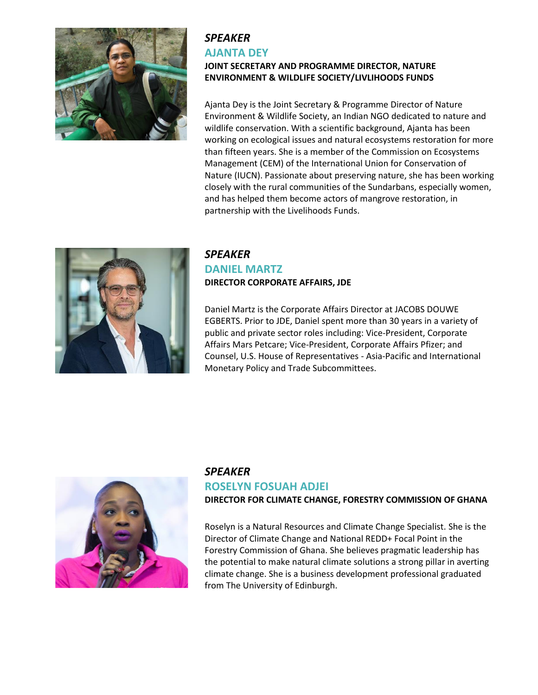

# *SPEAKER* **AJANTA DEY**

# **JOINT SECRETARY AND PROGRAMME DIRECTOR, NATURE ENVIRONMENT & WILDLIFE SOCIETY/LIVLIHOODS FUNDS**

Ajanta Dey is the Joint Secretary & Programme Director of Nature Environment & Wildlife Society, an Indian NGO dedicated to nature and wildlife conservation. With a scientific background, Ajanta has been working on ecological issues and natural ecosystems restoration for more than fifteen years. She is a member of the Commission on Ecosystems Management (CEM) of the International Union for Conservation of Nature (IUCN). Passionate about preserving nature, she has been working closely with the rural communities of the Sundarbans, especially women, and has helped them become actors of mangrove restoration, in partnership with the Livelihoods Funds.



## *SPEAKER* **DANIEL MARTZ DIRECTOR CORPORATE AFFAIRS, JDE**

Daniel Martz is the Corporate Affairs Director at JACOBS DOUWE EGBERTS. Prior to JDE, Daniel spent more than 30 years in a variety of public and private sector roles including: Vice-President, Corporate Affairs Mars Petcare; Vice-President, Corporate Affairs Pfizer; and Counsel, U.S. House of Representatives - Asia-Pacific and International Monetary Policy and Trade Subcommittees.



## *SPEAKER*

## **ROSELYN FOSUAH ADJEI**

#### **DIRECTOR FOR CLIMATE CHANGE, FORESTRY COMMISSION OF GHANA**

Roselyn is a Natural Resources and Climate Change Specialist. She is the Director of Climate Change and National REDD+ Focal Point in the Forestry Commission of Ghana. She believes pragmatic leadership has the potential to make natural climate solutions a strong pillar in averting climate change. She is a business development professional graduated from The University of Edinburgh.